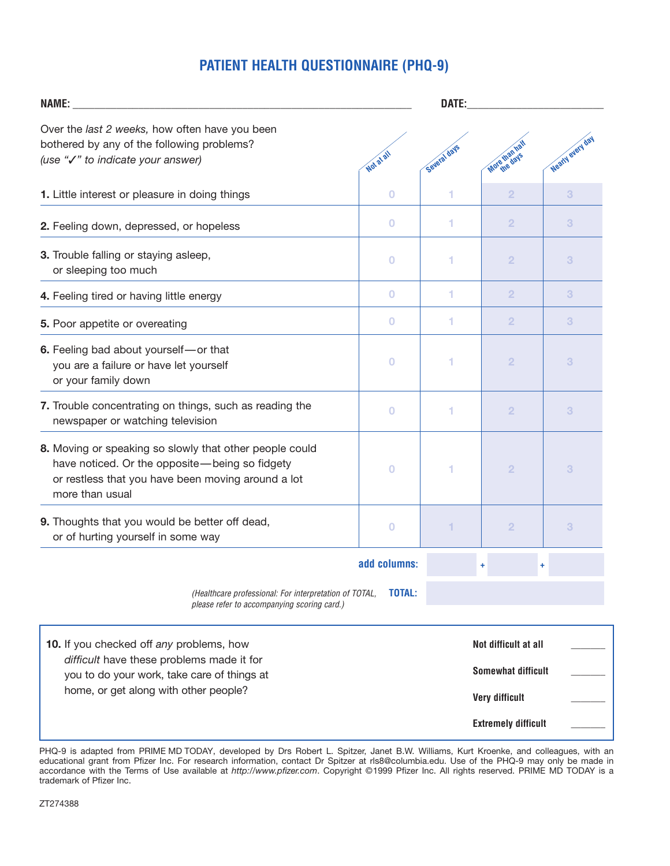# **PATIENT HEALTH QUESTIONNAIRE (PHQ-9)**

| <b>NAME:</b>                                                                                                                                                                       |               | DATE:                      |                                                                            |                  |  |
|------------------------------------------------------------------------------------------------------------------------------------------------------------------------------------|---------------|----------------------------|----------------------------------------------------------------------------|------------------|--|
| Over the last 2 weeks, how often have you been<br>bothered by any of the following problems?<br>(use "√" to indicate your answer)                                                  | Not at all    | Several days               | More than h                                                                | Nearly every day |  |
| 1. Little interest or pleasure in doing things                                                                                                                                     | 0             |                            | $\overline{2}$                                                             | 3                |  |
| 2. Feeling down, depressed, or hopeless                                                                                                                                            | $\bf{O}$      | 1                          | $\overline{2}$                                                             | 3                |  |
| 3. Trouble falling or staying asleep,<br>or sleeping too much                                                                                                                      | $\bf{O}$      | 1                          | $\overline{2}$                                                             | 3                |  |
| 4. Feeling tired or having little energy                                                                                                                                           | $\bf{O}$      | 1                          | $\overline{2}$                                                             | 3                |  |
| 5. Poor appetite or overeating                                                                                                                                                     | $\bf{0}$      | 1                          | $\overline{2}$                                                             | 3                |  |
| 6. Feeling bad about yourself-or that<br>you are a failure or have let yourself<br>or your family down                                                                             | $\bf{O}$      |                            | $\overline{2}$                                                             | 3                |  |
| 7. Trouble concentrating on things, such as reading the<br>newspaper or watching television                                                                                        | 0             | 1                          | $\overline{2}$                                                             | 3                |  |
| 8. Moving or speaking so slowly that other people could<br>have noticed. Or the opposite-being so fidgety<br>or restless that you have been moving around a lot<br>more than usual | 0             | 1                          | $\overline{2}$                                                             | 3                |  |
| 9. Thoughts that you would be better off dead,<br>or of hurting yourself in some way                                                                                               | 0             |                            | $\overline{2}$                                                             | 3                |  |
| add columns:                                                                                                                                                                       |               | ÷<br>÷                     |                                                                            |                  |  |
| (Healthcare professional: For interpretation of TOTAL,<br>please refer to accompanying scoring card.)                                                                              | <b>TOTAL:</b> |                            |                                                                            |                  |  |
| 10. If you checked off any problems, how<br>difficult have these problems made it for<br>you to do your work, take care of things at<br>home, or get along with other people?      |               |                            | Not difficult at all<br><b>Somewhat difficult</b><br><b>Very difficult</b> |                  |  |
|                                                                                                                                                                                    |               | <b>Extremely difficult</b> |                                                                            |                  |  |

PHQ-9 is adapted from PRIME MD TODAY, developed by Drs Robert L. Spitzer, Janet B.W. Williams, Kurt Kroenke, and colleagues, with an educational grant from Pfizer Inc. For research information, contact Dr Spitzer at rls8@columbia.edu. Use of the PHQ-9 may only be made in accordance with the Terms of Use available at *http://www.pfizer.com*. Copyright ©1999 Pfizer Inc. All rights reserved. PRIME MD TODAY is a trademark of Pfizer Inc.